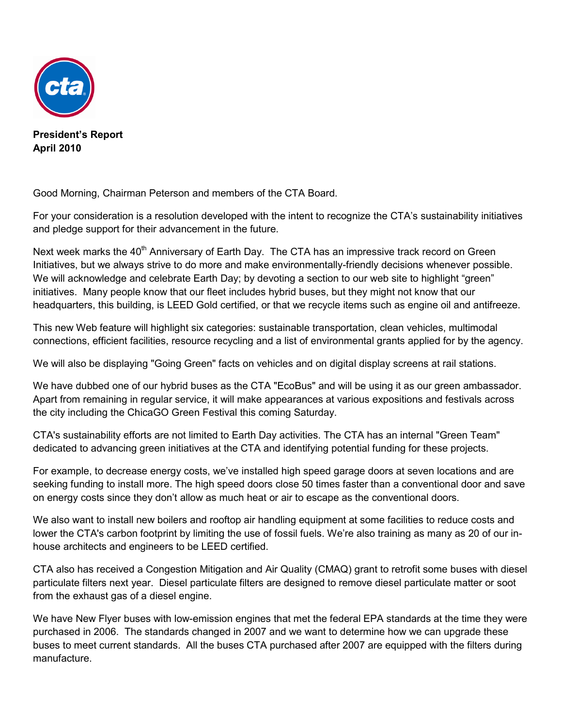

**President's Report April 2010**

Good Morning, Chairman Peterson and members of the CTA Board.

For your consideration is a resolution developed with the intent to recognize the CTA"s sustainability initiatives and pledge support for their advancement in the future.

Next week marks the 40<sup>th</sup> Anniversary of Earth Day. The CTA has an impressive track record on Green Initiatives, but we always strive to do more and make environmentally-friendly decisions whenever possible. We will acknowledge and celebrate Earth Day; by devoting a section to our web site to highlight "green" initiatives. Many people know that our fleet includes hybrid buses, but they might not know that our headquarters, this building, is LEED Gold certified, or that we recycle items such as engine oil and antifreeze.

This new Web feature will highlight six categories: sustainable transportation, clean vehicles, multimodal connections, efficient facilities, resource recycling and a list of environmental grants applied for by the agency.

We will also be displaying "Going Green" facts on vehicles and on digital display screens at rail stations.

We have dubbed one of our hybrid buses as the CTA "EcoBus" and will be using it as our green ambassador. Apart from remaining in regular service, it will make appearances at various expositions and festivals across the city including the ChicaGO Green Festival this coming Saturday.

CTA's sustainability efforts are not limited to Earth Day activities. The CTA has an internal "Green Team" dedicated to advancing green initiatives at the CTA and identifying potential funding for these projects.

For example, to decrease energy costs, we"ve installed high speed garage doors at seven locations and are seeking funding to install more. The high speed doors close 50 times faster than a conventional door and save on energy costs since they don"t allow as much heat or air to escape as the conventional doors.

We also want to install new boilers and rooftop air handling equipment at some facilities to reduce costs and lower the CTA's carbon footprint by limiting the use of fossil fuels. We"re also training as many as 20 of our inhouse architects and engineers to be LEED certified.

CTA also has received a Congestion Mitigation and Air Quality (CMAQ) grant to retrofit some buses with diesel particulate filters next year. Diesel particulate filters are designed to remove diesel particulate matter or soot from the exhaust gas of a diesel engine.

We have New Flyer buses with low-emission engines that met the federal EPA standards at the time they were purchased in 2006. The standards changed in 2007 and we want to determine how we can upgrade these buses to meet current standards. All the buses CTA purchased after 2007 are equipped with the filters during manufacture.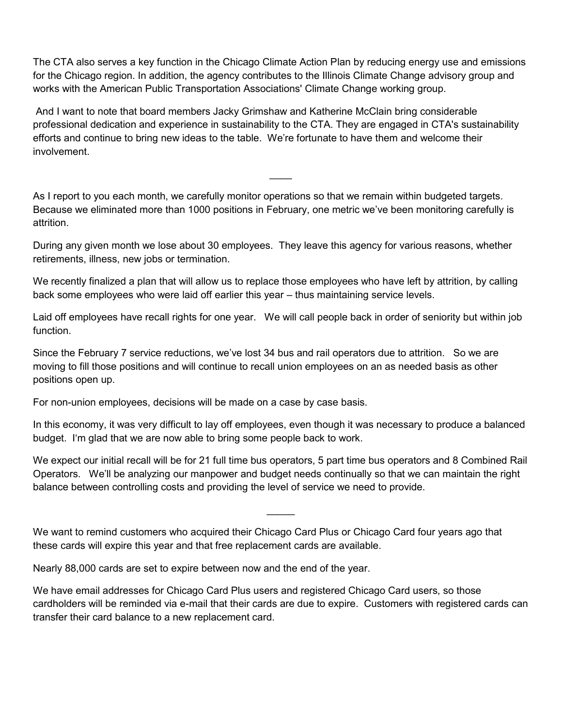The CTA also serves a key function in the Chicago Climate Action Plan by reducing energy use and emissions for the Chicago region. In addition, the agency contributes to the Illinois Climate Change advisory group and works with the American Public Transportation Associations' Climate Change working group.

And I want to note that board members Jacky Grimshaw and Katherine McClain bring considerable professional dedication and experience in sustainability to the CTA. They are engaged in CTA's sustainability efforts and continue to bring new ideas to the table. We"re fortunate to have them and welcome their involvement.

 $\overline{\phantom{a}}$ 

As I report to you each month, we carefully monitor operations so that we remain within budgeted targets. Because we eliminated more than 1000 positions in February, one metric we've been monitoring carefully is attrition.

During any given month we lose about 30 employees. They leave this agency for various reasons, whether retirements, illness, new jobs or termination.

We recently finalized a plan that will allow us to replace those employees who have left by attrition, by calling back some employees who were laid off earlier this year – thus maintaining service levels.

Laid off employees have recall rights for one year. We will call people back in order of seniority but within job function.

Since the February 7 service reductions, we"ve lost 34 bus and rail operators due to attrition. So we are moving to fill those positions and will continue to recall union employees on an as needed basis as other positions open up.

For non-union employees, decisions will be made on a case by case basis.

In this economy, it was very difficult to lay off employees, even though it was necessary to produce a balanced budget. I'm glad that we are now able to bring some people back to work.

We expect our initial recall will be for 21 full time bus operators, 5 part time bus operators and 8 Combined Rail Operators. We"ll be analyzing our manpower and budget needs continually so that we can maintain the right balance between controlling costs and providing the level of service we need to provide.

 $\mathcal{L}$ 

We want to remind customers who acquired their Chicago Card Plus or Chicago Card four years ago that these cards will expire this year and that free replacement cards are available.

Nearly 88,000 cards are set to expire between now and the end of the year.

We have email addresses for Chicago Card Plus users and registered Chicago Card users, so those cardholders will be reminded via e-mail that their cards are due to expire. Customers with registered cards can transfer their card balance to a new replacement card.